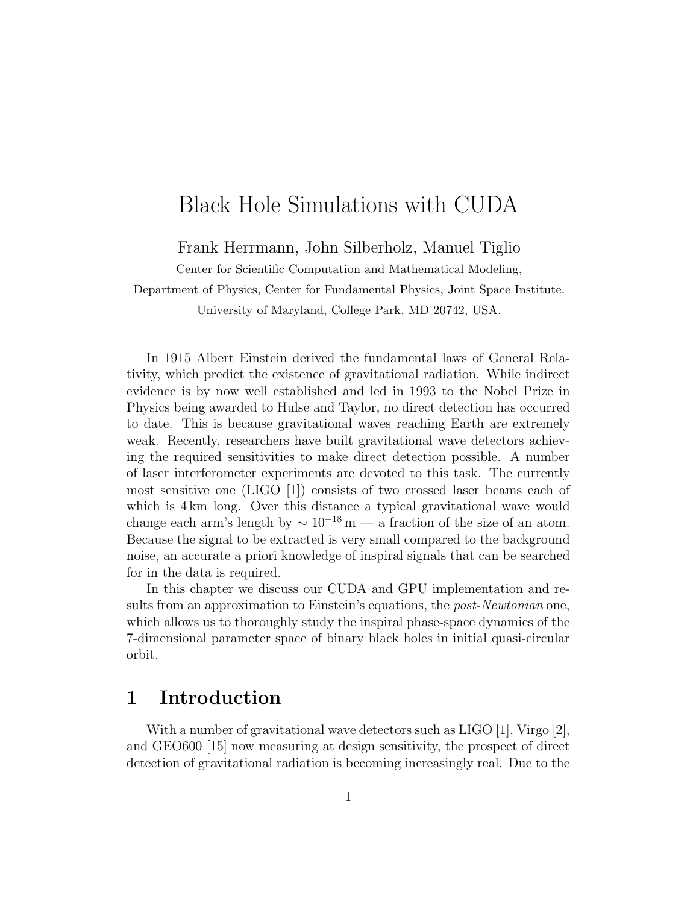# Black Hole Simulations with CUDA

Frank Herrmann, John Silberholz, Manuel Tiglio

Center for Scientific Computation and Mathematical Modeling,

Department of Physics, Center for Fundamental Physics, Joint Space Institute. University of Maryland, College Park, MD 20742, USA.

In 1915 Albert Einstein derived the fundamental laws of General Relativity, which predict the existence of gravitational radiation. While indirect evidence is by now well established and led in 1993 to the Nobel Prize in Physics being awarded to Hulse and Taylor, no direct detection has occurred to date. This is because gravitational waves reaching Earth are extremely weak. Recently, researchers have built gravitational wave detectors achieving the required sensitivities to make direct detection possible. A number of laser interferometer experiments are devoted to this task. The currently most sensitive one (LIGO [1]) consists of two crossed laser beams each of which is 4 km long. Over this distance a typical gravitational wave would change each arm's length by  $\sim 10^{-18}$  m — a fraction of the size of an atom. Because the signal to be extracted is very small compared to the background noise, an accurate a priori knowledge of inspiral signals that can be searched for in the data is required.

In this chapter we discuss our CUDA and GPU implementation and results from an approximation to Einstein's equations, the *post-Newtonian* one, which allows us to thoroughly study the inspiral phase-space dynamics of the 7-dimensional parameter space of binary black holes in initial quasi-circular orbit.

# 1 Introduction

With a number of gravitational wave detectors such as LIGO [1], Virgo [2], and GEO600 [15] now measuring at design sensitivity, the prospect of direct detection of gravitational radiation is becoming increasingly real. Due to the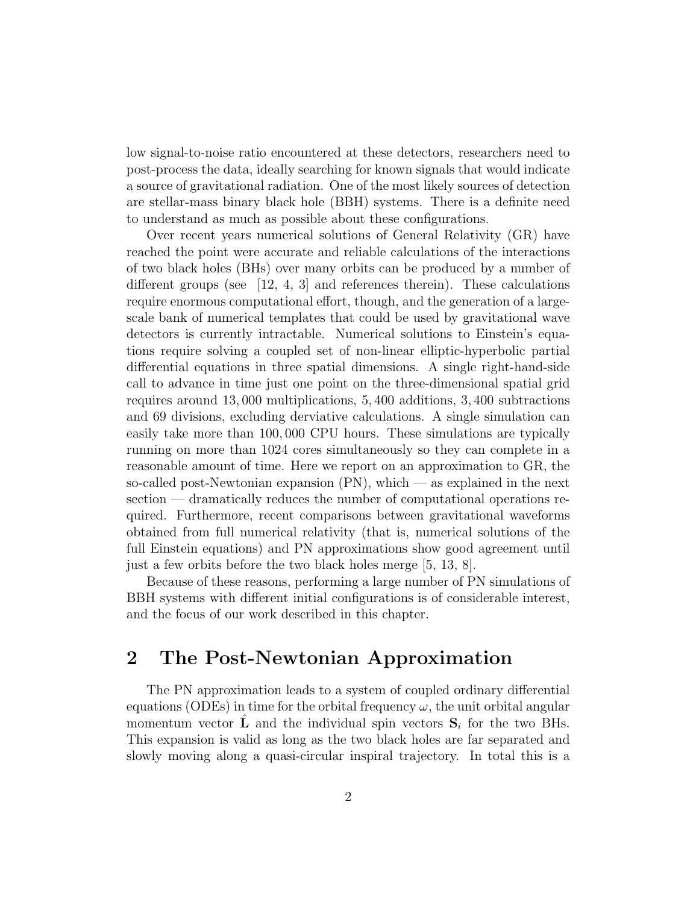low signal-to-noise ratio encountered at these detectors, researchers need to post-process the data, ideally searching for known signals that would indicate a source of gravitational radiation. One of the most likely sources of detection are stellar-mass binary black hole (BBH) systems. There is a definite need to understand as much as possible about these configurations.

Over recent years numerical solutions of General Relativity (GR) have reached the point were accurate and reliable calculations of the interactions of two black holes (BHs) over many orbits can be produced by a number of different groups (see  $[12, 4, 3]$  and references therein). These calculations require enormous computational effort, though, and the generation of a largescale bank of numerical templates that could be used by gravitational wave detectors is currently intractable. Numerical solutions to Einstein's equations require solving a coupled set of non-linear elliptic-hyperbolic partial differential equations in three spatial dimensions. A single right-hand-side call to advance in time just one point on the three-dimensional spatial grid requires around 13, 000 multiplications, 5, 400 additions, 3, 400 subtractions and 69 divisions, excluding derviative calculations. A single simulation can easily take more than 100, 000 CPU hours. These simulations are typically running on more than 1024 cores simultaneously so they can complete in a reasonable amount of time. Here we report on an approximation to GR, the so-called post-Newtonian expansion (PN), which — as explained in the next section — dramatically reduces the number of computational operations required. Furthermore, recent comparisons between gravitational waveforms obtained from full numerical relativity (that is, numerical solutions of the full Einstein equations) and PN approximations show good agreement until just a few orbits before the two black holes merge [5, 13, 8].

Because of these reasons, performing a large number of PN simulations of BBH systems with different initial configurations is of considerable interest, and the focus of our work described in this chapter.

## 2 The Post-Newtonian Approximation

The PN approximation leads to a system of coupled ordinary differential equations (ODEs) in time for the orbital frequency  $\omega$ , the unit orbital angular momentum vector  $\hat{\mathbf{L}}$  and the individual spin vectors  $\mathbf{S}_i$  for the two BHs. This expansion is valid as long as the two black holes are far separated and slowly moving along a quasi-circular inspiral trajectory. In total this is a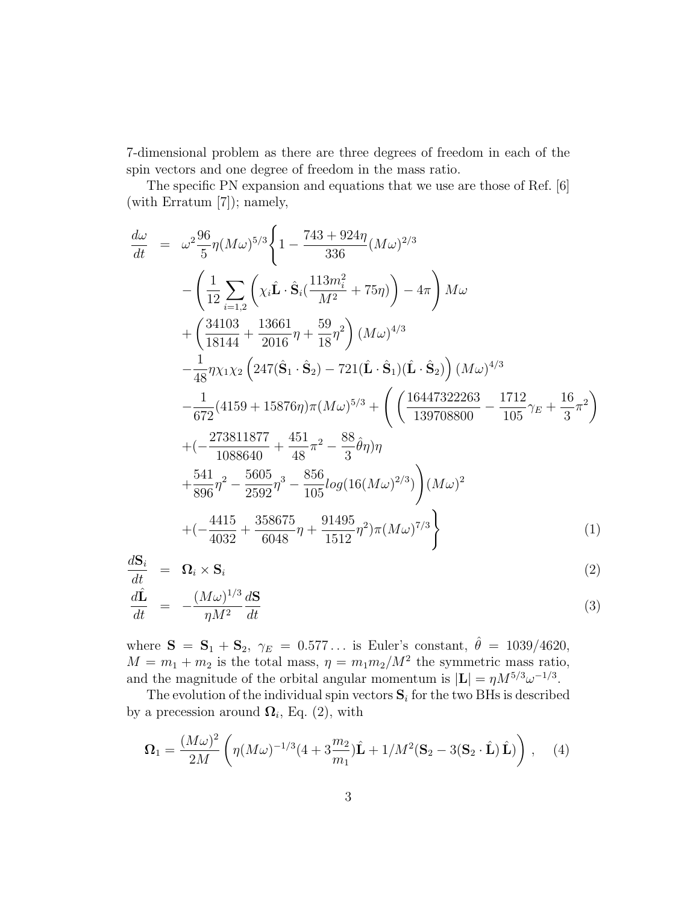7-dimensional problem as there are three degrees of freedom in each of the spin vectors and one degree of freedom in the mass ratio.

The specific PN expansion and equations that we use are those of Ref. [6] (with Erratum [7]); namely,

$$
\frac{d\omega}{dt} = \omega^2 \frac{96}{5} \eta (M\omega)^{5/3} \left\{ 1 - \frac{743 + 924\eta}{336} (M\omega)^{2/3} \right.\n- \left( \frac{1}{12} \sum_{i=1,2} \left( \chi_i \hat{\mathbf{L}} \cdot \hat{\mathbf{S}}_i \left( \frac{113m_i^2}{M^2} + 75\eta \right) \right) - 4\pi \right) M\omega \n+ \left( \frac{34103}{18144} + \frac{13661}{2016} \eta + \frac{59}{18} \eta^2 \right) (M\omega)^{4/3} \n- \frac{1}{48} \eta \chi_1 \chi_2 \left( 247 (\hat{\mathbf{S}}_1 \cdot \hat{\mathbf{S}}_2) - 721 (\hat{\mathbf{L}} \cdot \hat{\mathbf{S}}_1) (\hat{\mathbf{L}} \cdot \hat{\mathbf{S}}_2) \right) (M\omega)^{4/3} \n- \frac{1}{672} (4159 + 15876\eta) \pi (M\omega)^{5/3} + \left( \left( \frac{16447322263}{139708800} - \frac{1712}{105} \gamma_E + \frac{16}{3} \pi^2 \right) \right.\n+ \left( -\frac{273811877}{1088640} + \frac{451}{48} \pi^2 - \frac{88}{3} \hat{\theta} \eta \right) \eta \n+ \frac{541}{896} \eta^2 - \frac{5605}{2592} \eta^3 - \frac{856}{105} \log(16(M\omega)^{2/3}) \right) (M\omega)^2 \n+ \left( -\frac{4415}{4032} + \frac{358675}{6048} \eta + \frac{91495}{1512} \eta^2 \right) \pi (M\omega)^{7/3} \right\}
$$
\n(1)

$$
\frac{d\mathbf{S}_i}{dt} = \mathbf{\Omega}_i \times \mathbf{S}_i \tag{2}
$$

$$
\frac{d\hat{\mathbf{L}}}{dt} = -\frac{(M\omega)^{1/3}}{\eta M^2} \frac{d\mathbf{S}}{dt}
$$
\n(3)

where  $S = S_1 + S_2$ ,  $\gamma_E = 0.577...$  is Euler's constant,  $\hat{\theta} = 1039/4620$ ,  $M = m_1 + m_2$  is the total mass,  $\eta = m_1 m_2 / M^2$  the symmetric mass ratio, and the magnitude of the orbital angular momentum is  $|\mathbf{L}| = \eta M^{5/3} \omega^{-1/3}$ .

The evolution of the individual spin vectors  $S_i$  for the two BHs is described by a precession around  $\mathbf{\Omega}_i$ , Eq. (2), with

$$
\Omega_1 = \frac{(M\omega)^2}{2M} \left( \eta (M\omega)^{-1/3} (4 + 3\frac{m_2}{m_1}) \hat{\mathbf{L}} + 1/M^2 (\mathbf{S}_2 - 3(\mathbf{S}_2 \cdot \hat{\mathbf{L}})) \hat{\mathbf{L}}) \right), \quad (4)
$$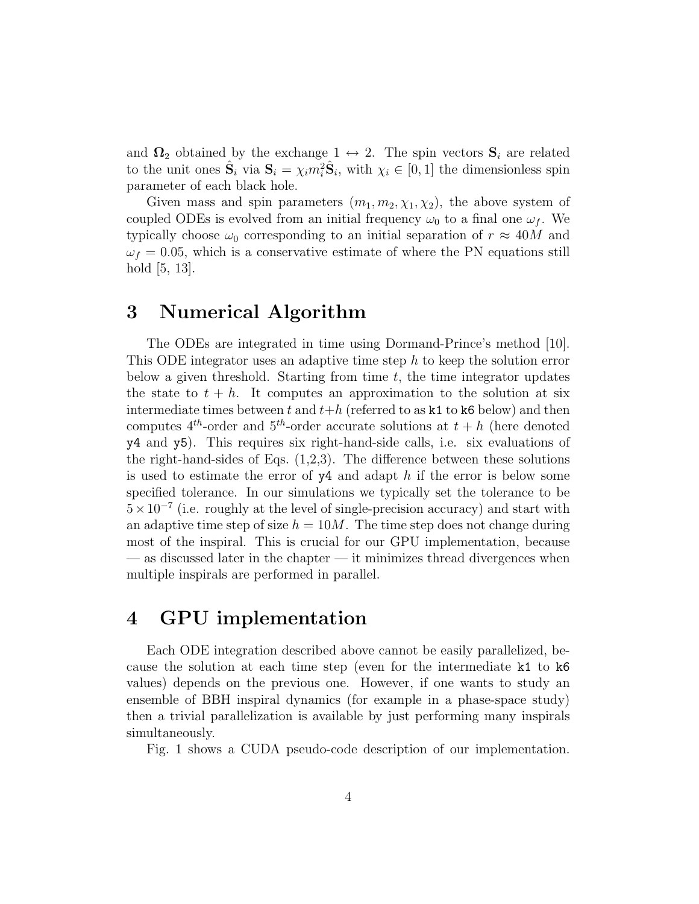and  $\Omega_2$  obtained by the exchange  $1 \leftrightarrow 2$ . The spin vectors  $S_i$  are related to the unit ones  $\hat{\mathbf{S}}_i$  via  $\mathbf{S}_i = \chi_i m_i^2 \hat{\mathbf{S}}_i$ , with  $\chi_i \in [0, 1]$  the dimensionless spin parameter of each black hole.

Given mass and spin parameters  $(m_1, m_2, \chi_1, \chi_2)$ , the above system of coupled ODEs is evolved from an initial frequency  $\omega_0$  to a final one  $\omega_f$ . We typically choose  $\omega_0$  corresponding to an initial separation of  $r \approx 40M$  and  $\omega_f = 0.05$ , which is a conservative estimate of where the PN equations still hold [5, 13].

#### 3 Numerical Algorithm

The ODEs are integrated in time using Dormand-Prince's method [10]. This ODE integrator uses an adaptive time step h to keep the solution error below a given threshold. Starting from time  $t$ , the time integrator updates the state to  $t + h$ . It computes an approximation to the solution at six intermediate times between t and  $t+h$  (referred to as k1 to k6 below) and then computes  $4^{th}$ -order and  $5^{th}$ -order accurate solutions at  $t + h$  (here denoted y4 and y5). This requires six right-hand-side calls, i.e. six evaluations of the right-hand-sides of Eqs.  $(1,2,3)$ . The difference between these solutions is used to estimate the error of  $y4$  and adapt h if the error is below some specified tolerance. In our simulations we typically set the tolerance to be  $5 \times 10^{-7}$  (i.e. roughly at the level of single-precision accuracy) and start with an adaptive time step of size  $h = 10M$ . The time step does not change during most of the inspiral. This is crucial for our GPU implementation, because — as discussed later in the chapter — it minimizes thread divergences when multiple inspirals are performed in parallel.

## 4 GPU implementation

Each ODE integration described above cannot be easily parallelized, because the solution at each time step (even for the intermediate k1 to k6 values) depends on the previous one. However, if one wants to study an ensemble of BBH inspiral dynamics (for example in a phase-space study) then a trivial parallelization is available by just performing many inspirals simultaneously.

Fig. 1 shows a CUDA pseudo-code description of our implementation.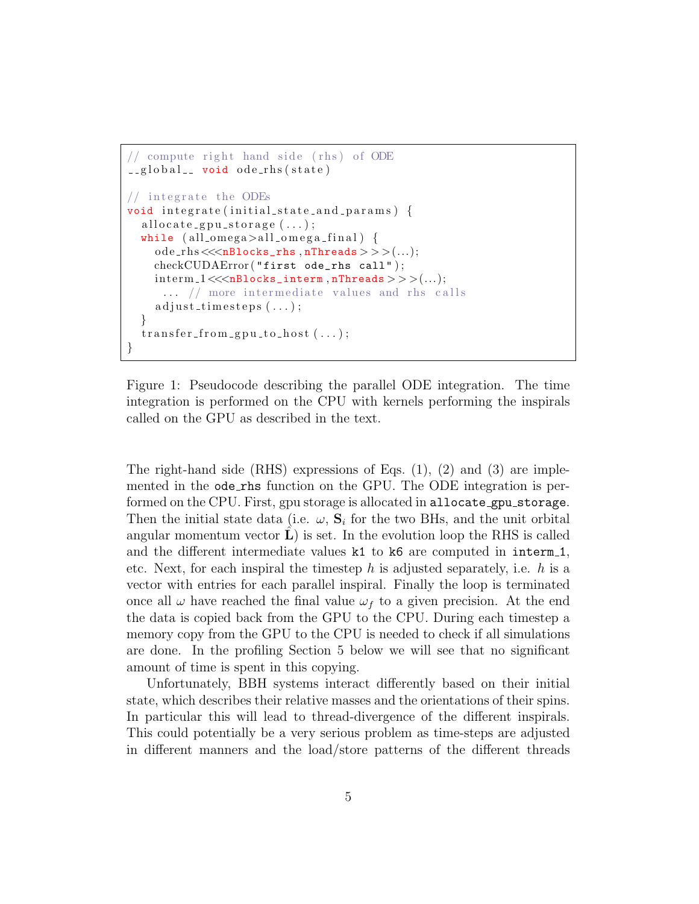```
// compute right hand side (rhs) of ODE
\text{L-global}_- void ode_rhs(state)
// integrate the ODEs
void integrate (initial_state_and_params) {
  allocate_gpu_storage(\ldots);while ( all\_omega > all\_omega <sub>g</sub>)]ode\_rhs \lllt; nBlocks\_rhs, nThreads \gggt; ((...);checkCUDAError ("first ode_rhs call");
     \text{interm1} \ll \ll \text{nBlocks} interm, nThreads > > > (... );
      \ldots // more intermediate values and rhs calls
     adjust \text{-}times \text{ }eps \text{ } (\dots);}
  transfer\_from\_gpu\_to\_host ( \dots );
}
```
Figure 1: Pseudocode describing the parallel ODE integration. The time integration is performed on the CPU with kernels performing the inspirals called on the GPU as described in the text.

The right-hand side (RHS) expressions of Eqs.  $(1)$ ,  $(2)$  and  $(3)$  are implemented in the ode rhs function on the GPU. The ODE integration is performed on the CPU. First, gpu storage is allocated in allocate\_gpu\_storage. Then the initial state data (i.e.  $\omega$ ,  $\mathbf{S}_i$  for the two BHs, and the unit orbital angular momentum vector  $\hat{\mathbf{L}}$  is set. In the evolution loop the RHS is called and the different intermediate values  $k1$  to  $k6$  are computed in interm<sub>1</sub>, etc. Next, for each inspiral the timestep h is adjusted separately, i.e. h is a vector with entries for each parallel inspiral. Finally the loop is terminated once all  $\omega$  have reached the final value  $\omega_f$  to a given precision. At the end the data is copied back from the GPU to the CPU. During each timestep a memory copy from the GPU to the CPU is needed to check if all simulations are done. In the profiling Section 5 below we will see that no significant amount of time is spent in this copying.

Unfortunately, BBH systems interact differently based on their initial state, which describes their relative masses and the orientations of their spins. In particular this will lead to thread-divergence of the different inspirals. This could potentially be a very serious problem as time-steps are adjusted in different manners and the load/store patterns of the different threads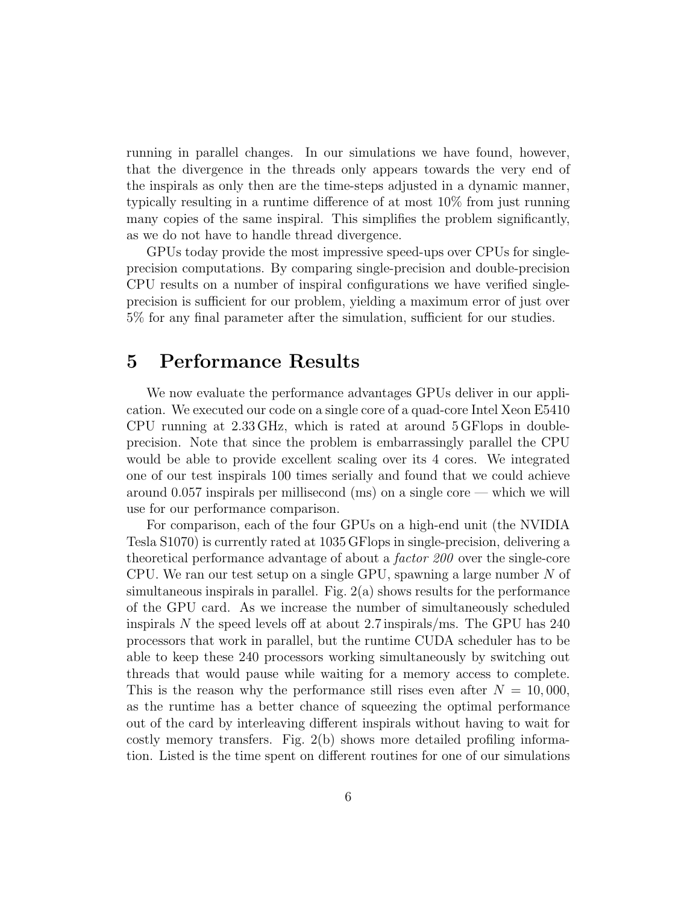running in parallel changes. In our simulations we have found, however, that the divergence in the threads only appears towards the very end of the inspirals as only then are the time-steps adjusted in a dynamic manner, typically resulting in a runtime difference of at most 10% from just running many copies of the same inspiral. This simplifies the problem significantly, as we do not have to handle thread divergence.

GPUs today provide the most impressive speed-ups over CPUs for singleprecision computations. By comparing single-precision and double-precision CPU results on a number of inspiral configurations we have verified singleprecision is sufficient for our problem, yielding a maximum error of just over 5% for any final parameter after the simulation, sufficient for our studies.

## 5 Performance Results

We now evaluate the performance advantages GPUs deliver in our application. We executed our code on a single core of a quad-core Intel Xeon E5410 CPU running at 2.33 GHz, which is rated at around 5 GFlops in doubleprecision. Note that since the problem is embarrassingly parallel the CPU would be able to provide excellent scaling over its 4 cores. We integrated one of our test inspirals 100 times serially and found that we could achieve around 0.057 inspirals per millisecond (ms) on a single core — which we will use for our performance comparison.

For comparison, each of the four GPUs on a high-end unit (the NVIDIA Tesla S1070) is currently rated at 1035 GFlops in single-precision, delivering a theoretical performance advantage of about a factor 200 over the single-core CPU. We ran our test setup on a single GPU, spawning a large number N of simultaneous inspirals in parallel. Fig. 2(a) shows results for the performance of the GPU card. As we increase the number of simultaneously scheduled inspirals N the speed levels off at about 2.7 inspirals/ms. The GPU has 240 processors that work in parallel, but the runtime CUDA scheduler has to be able to keep these 240 processors working simultaneously by switching out threads that would pause while waiting for a memory access to complete. This is the reason why the performance still rises even after  $N = 10,000$ , as the runtime has a better chance of squeezing the optimal performance out of the card by interleaving different inspirals without having to wait for costly memory transfers. Fig. 2(b) shows more detailed profiling information. Listed is the time spent on different routines for one of our simulations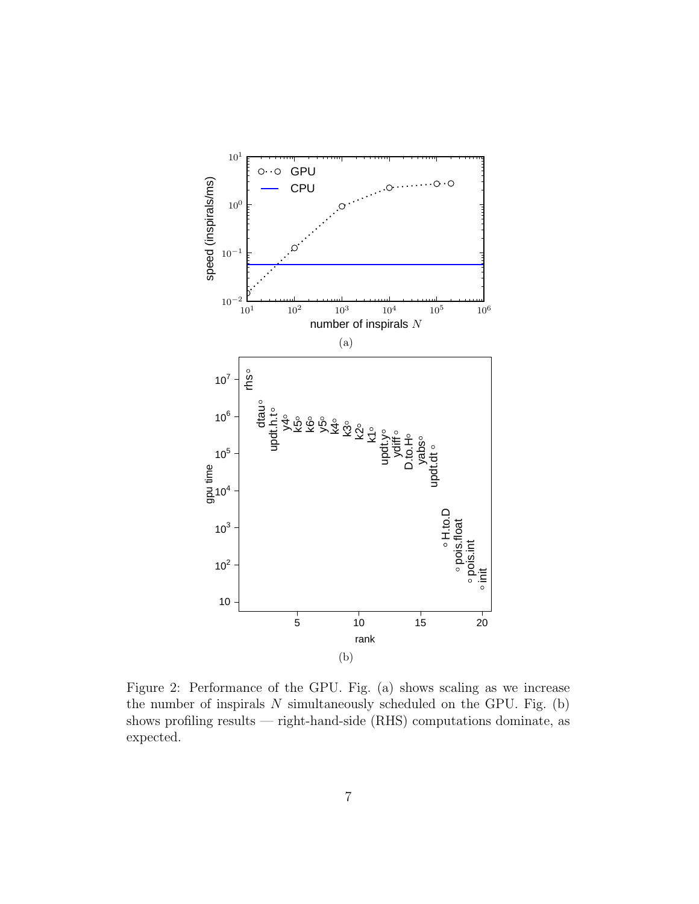

Figure 2: Performance of the GPU. Fig. (a) shows scaling as we increase the number of inspirals  $N$  simultaneously scheduled on the GPU. Fig. (b) shows profiling results — right-hand-side (RHS) computations dominate, as expected.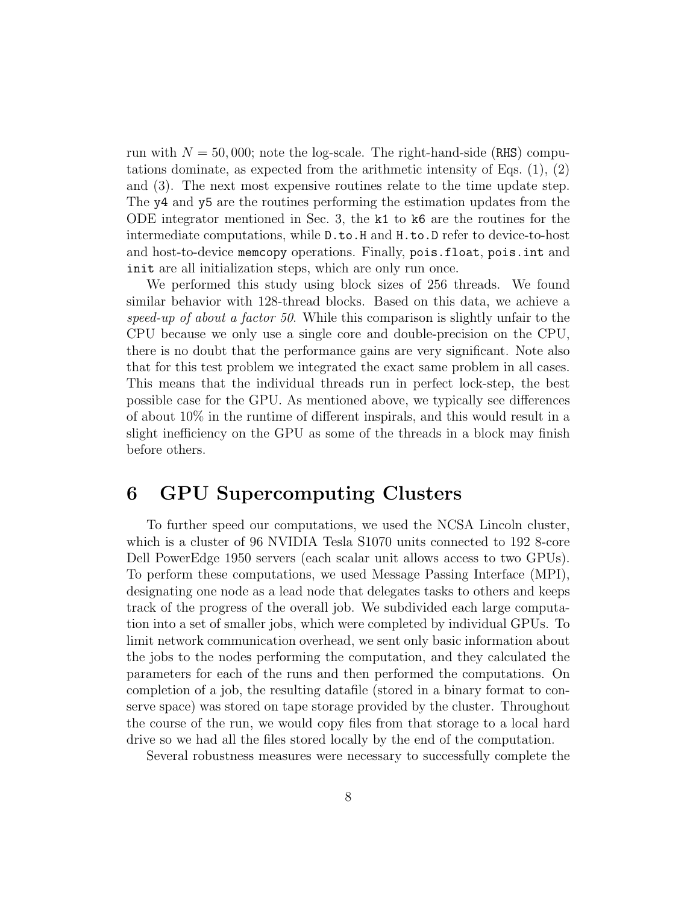run with  $N = 50,000$ ; note the log-scale. The right-hand-side (RHS) computations dominate, as expected from the arithmetic intensity of Eqs.  $(1), (2)$ and (3). The next most expensive routines relate to the time update step. The y4 and y5 are the routines performing the estimation updates from the ODE integrator mentioned in Sec. 3, the k1 to k6 are the routines for the intermediate computations, while D.to.H and H.to.D refer to device-to-host and host-to-device memcopy operations. Finally, pois.float, pois.int and init are all initialization steps, which are only run once.

We performed this study using block sizes of 256 threads. We found similar behavior with 128-thread blocks. Based on this data, we achieve a speed-up of about a factor 50. While this comparison is slightly unfair to the CPU because we only use a single core and double-precision on the CPU, there is no doubt that the performance gains are very significant. Note also that for this test problem we integrated the exact same problem in all cases. This means that the individual threads run in perfect lock-step, the best possible case for the GPU. As mentioned above, we typically see differences of about 10% in the runtime of different inspirals, and this would result in a slight inefficiency on the GPU as some of the threads in a block may finish before others.

#### 6 GPU Supercomputing Clusters

To further speed our computations, we used the NCSA Lincoln cluster, which is a cluster of 96 NVIDIA Tesla S1070 units connected to 192 8-core Dell PowerEdge 1950 servers (each scalar unit allows access to two GPUs). To perform these computations, we used Message Passing Interface (MPI), designating one node as a lead node that delegates tasks to others and keeps track of the progress of the overall job. We subdivided each large computation into a set of smaller jobs, which were completed by individual GPUs. To limit network communication overhead, we sent only basic information about the jobs to the nodes performing the computation, and they calculated the parameters for each of the runs and then performed the computations. On completion of a job, the resulting datafile (stored in a binary format to conserve space) was stored on tape storage provided by the cluster. Throughout the course of the run, we would copy files from that storage to a local hard drive so we had all the files stored locally by the end of the computation.

Several robustness measures were necessary to successfully complete the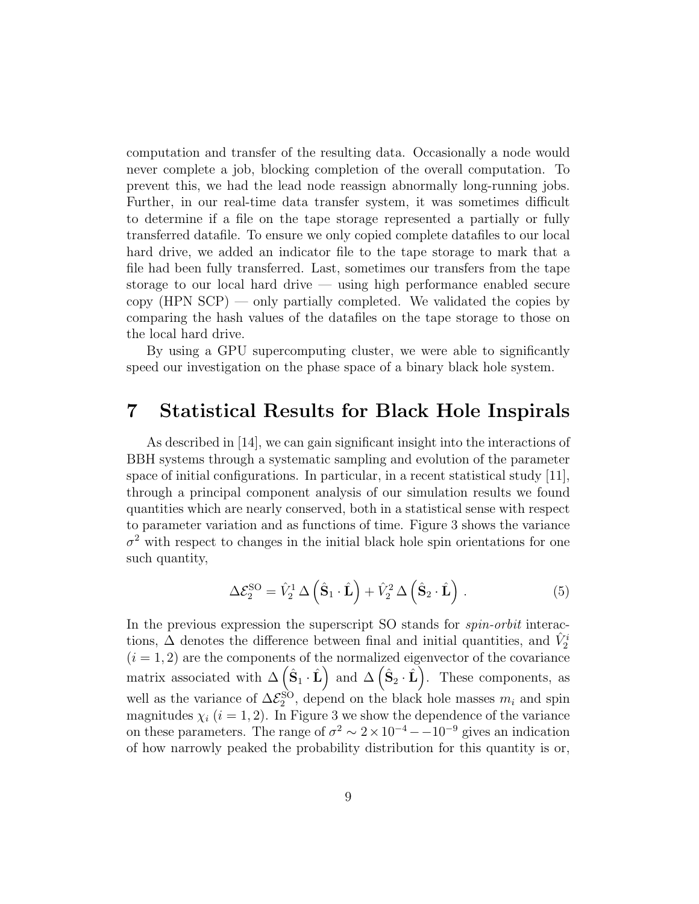computation and transfer of the resulting data. Occasionally a node would never complete a job, blocking completion of the overall computation. To prevent this, we had the lead node reassign abnormally long-running jobs. Further, in our real-time data transfer system, it was sometimes difficult to determine if a file on the tape storage represented a partially or fully transferred datafile. To ensure we only copied complete datafiles to our local hard drive, we added an indicator file to the tape storage to mark that a file had been fully transferred. Last, sometimes our transfers from the tape storage to our local hard drive — using high performance enabled secure copy  $(HPN SCP)$  — only partially completed. We validated the copies by comparing the hash values of the datafiles on the tape storage to those on the local hard drive.

By using a GPU supercomputing cluster, we were able to significantly speed our investigation on the phase space of a binary black hole system.

#### 7 Statistical Results for Black Hole Inspirals

As described in [14], we can gain significant insight into the interactions of BBH systems through a systematic sampling and evolution of the parameter space of initial configurations. In particular, in a recent statistical study [11], through a principal component analysis of our simulation results we found quantities which are nearly conserved, both in a statistical sense with respect to parameter variation and as functions of time. Figure 3 shows the variance  $\sigma^2$  with respect to changes in the initial black hole spin orientations for one such quantity,

$$
\Delta \mathcal{E}_2^{\text{SO}} = \hat{V}_2^1 \Delta \left( \hat{\mathbf{S}}_1 \cdot \hat{\mathbf{L}} \right) + \hat{V}_2^2 \Delta \left( \hat{\mathbf{S}}_2 \cdot \hat{\mathbf{L}} \right) . \tag{5}
$$

In the previous expression the superscript SO stands for *spin-orbit* interactions,  $\Delta$  denotes the difference between final and initial quantities, and  $\hat{V}^i_2$  $(i = 1, 2)$  are the components of the normalized eigenvector of the covariance matrix associated with  $\Delta(\hat{S}_1 \cdot \hat{L})$  and  $\Delta(\hat{S}_2 \cdot \hat{L})$ . These components, as well as the variance of  $\Delta \mathcal{E}_2^{\text{SO}}$ , depend on the black hole masses  $m_i$  and spin magnitudes  $\chi_i$  ( $i = 1, 2$ ). In Figure 3 we show the dependence of the variance on these parameters. The range of  $\sigma^2 \sim 2 \times 10^{-4} - 10^{-9}$  gives an indication of how narrowly peaked the probability distribution for this quantity is or,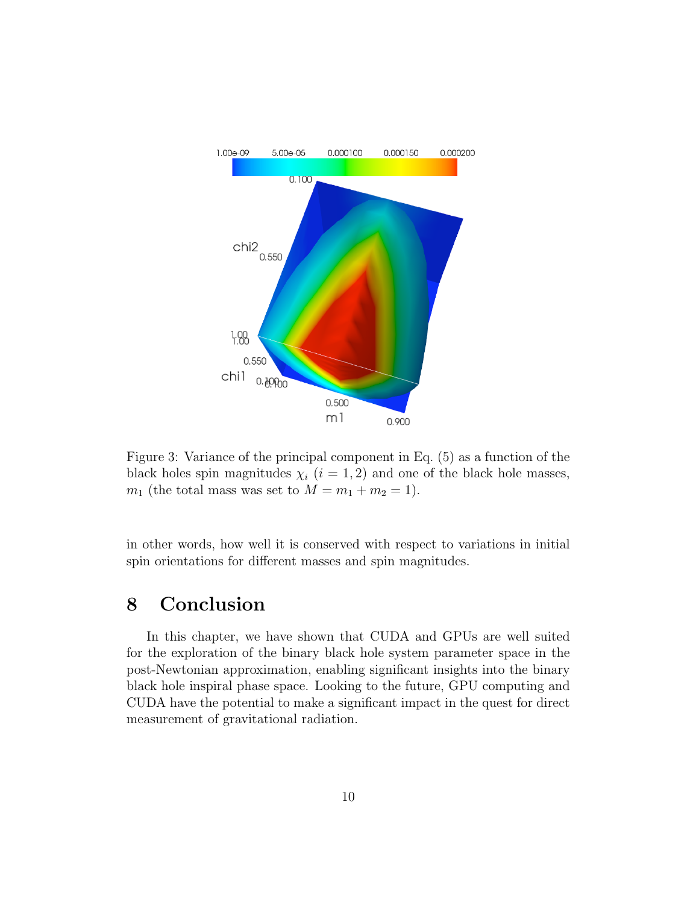

Figure 3: Variance of the principal component in Eq. (5) as a function of the black holes spin magnitudes  $\chi_i$  (i = 1, 2) and one of the black hole masses,  $m_1$  (the total mass was set to  $M = m_1 + m_2 = 1$ ).

in other words, how well it is conserved with respect to variations in initial spin orientations for different masses and spin magnitudes.

# 8 Conclusion

In this chapter, we have shown that CUDA and GPUs are well suited for the exploration of the binary black hole system parameter space in the post-Newtonian approximation, enabling significant insights into the binary black hole inspiral phase space. Looking to the future, GPU computing and CUDA have the potential to make a significant impact in the quest for direct measurement of gravitational radiation.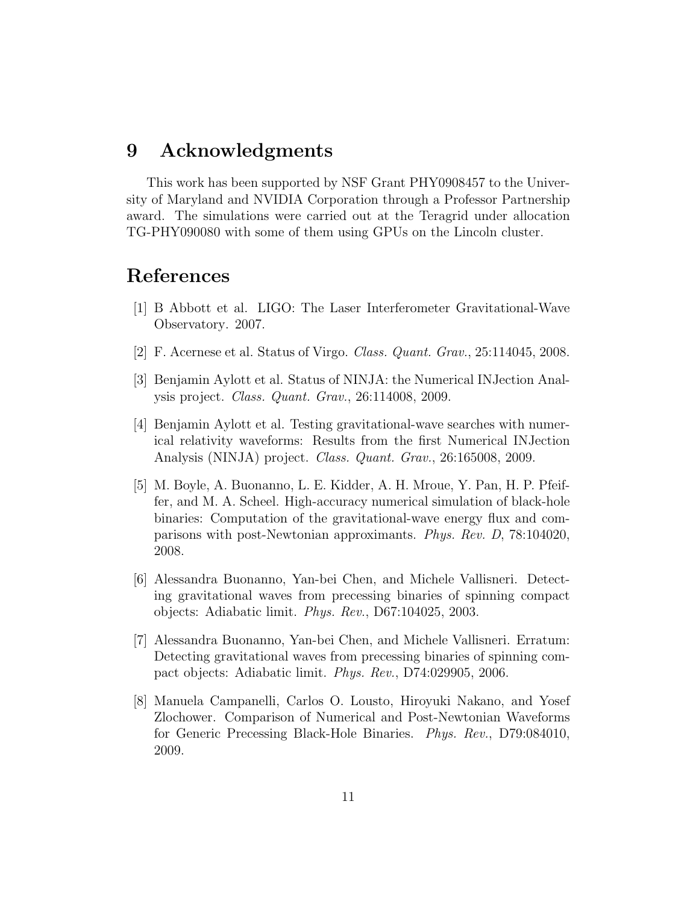#### 9 Acknowledgments

This work has been supported by NSF Grant PHY0908457 to the University of Maryland and NVIDIA Corporation through a Professor Partnership award. The simulations were carried out at the Teragrid under allocation TG-PHY090080 with some of them using GPUs on the Lincoln cluster.

#### References

- [1] B Abbott et al. LIGO: The Laser Interferometer Gravitational-Wave Observatory. 2007.
- [2] F. Acernese et al. Status of Virgo. Class. Quant. Grav., 25:114045, 2008.
- [3] Benjamin Aylott et al. Status of NINJA: the Numerical INJection Analysis project. Class. Quant. Grav., 26:114008, 2009.
- [4] Benjamin Aylott et al. Testing gravitational-wave searches with numerical relativity waveforms: Results from the first Numerical INJection Analysis (NINJA) project. Class. Quant. Grav., 26:165008, 2009.
- [5] M. Boyle, A. Buonanno, L. E. Kidder, A. H. Mroue, Y. Pan, H. P. Pfeiffer, and M. A. Scheel. High-accuracy numerical simulation of black-hole binaries: Computation of the gravitational-wave energy flux and comparisons with post-Newtonian approximants. Phys. Rev. D, 78:104020, 2008.
- [6] Alessandra Buonanno, Yan-bei Chen, and Michele Vallisneri. Detecting gravitational waves from precessing binaries of spinning compact objects: Adiabatic limit. Phys. Rev., D67:104025, 2003.
- [7] Alessandra Buonanno, Yan-bei Chen, and Michele Vallisneri. Erratum: Detecting gravitational waves from precessing binaries of spinning compact objects: Adiabatic limit. Phys. Rev., D74:029905, 2006.
- [8] Manuela Campanelli, Carlos O. Lousto, Hiroyuki Nakano, and Yosef Zlochower. Comparison of Numerical and Post-Newtonian Waveforms for Generic Precessing Black-Hole Binaries. Phys. Rev., D79:084010, 2009.